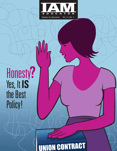

# Honesty?<br>Yes, It IS<br>the Best Policy!

## UNION CONTRACT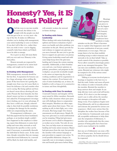## **Honesty? Yes, it IS the Best Policy!**

**O**<br> **C** as a steward, the failure to be<br>
straight with the people you dea<br>
with hes got to be at a cr very pear. the as a steward, the failure to be straight with the people you deal with has got to be at—or very near—the top of the list. It makes no difference whether you're dealing with management, your union leadership or your co-workers: if you don't tell it like it is—rather than how you wish it were—you're digging yourself a hole from which you'll likely never be able to emerge.

Or, to put it as dear old mom likely told you over and over: Honesty is the best policy.

Honest stewards are respected by management, counted on by union leadership, and sought out by members.

#### **In Dealing with Management**

With management, stewards should be fair but firm. A reputation for honesty can be a huge advantage when settling disputes: If the boss knows he's getting the straight story from you, he's more likely to lower his defenses a bit and consider what you're saying. But being upfront and honest doesn't mean always showing all your cards. Present the facts honestly, but that doesn't mean you have to volunteer what isn't asked for. If management's investigation is lacking, use it to your advantage. If they have a solid case, though, acknowledge it, then look for possible resolutions to mitigate the damage for the member while not compromising the union.

If management is dishonest—you find that paperwork has been backdated, perhaps, or an incident simply couldn't have happened as the employer is claiming, report that dishonesty to union leadership and warn other stewards as well. Document the specifics so they can be used, if necessary, to potentially discredit the individual in future cases. At the same time, though, remember that any management-discovered dishonesty by a steward will be likely be dealt with harshly, and

will certainly weaken the steward in future dealings.

#### **In Dealing with Union Leadership**

When dealing with union leadership, give upfront and honest evaluations of grievances you handle and other problems you encounter on the job. Always provide factual evidence to support any grievance you move forward. Be sure you've got the facts to support any grievance you pursue. Giving union leadership sound and solid cases helps keep down the grievance backlog and it keeps the system running smoothly. Additionally, as their frontline eyes and ears, your honest opinions on policies, procedures, and programs in the workplace can provide invaluable insight to the union on improving day-to-day working conditions and for negotiations to improve the contract. Even honest criticism of union leadership can, at times, be helpful as well, so long as it is constructive in nature and done thoughtfully.

#### **In Dealing with Your Co-workers**

A steward's honesty and integrity will be most tested by fellow members. Stewards will face daily situations where peer pressure will challenge them to compromise their integrity. Members are often angry and/or upset about their issues. They are seeking an ally in their fight, not a voice of reason. But hang tough. Give honest assessments on all grievances. Simply filing every grievance to avoid confrontation can be tempting. Filing bad grievances just because you're afraid to disappoint a co-worker never works. Not only do you lose, but you help create an unnecessary backlog and waste union resources. Reject bad grievances from the start, but provide the member with contract language or past precedent to support your action. To avoid possible dishonesty charges, be especially sure to investigate compensation and benefit grievances before filing.



Hearings and inquiries can prove to be the biggest test of a steward's honesty and integrity. Even the best employees have accidents or make

mistakes on the job. When it becomes time to explain what happened, most will be some combination of nervous, scared, embarrassed, or even angry. This can tempt them to be less than truthful, including trying to solicit witnesses and stewards to lie on their behalf. Take as much control of the situation as possible. Never allow yourself to knowingly participate in any attempted deception. This can ruin your credibility and that of your union. Remind any witnesses who might be tempted to lie of the serious consequences if caught.

Talking to everyone involved prior to hearings or inquiries is the best way to find the truth. Gather and assess all possible evidence in order to honestly advise the member. Remind the member to keep answers short and simple: It can help alleviate worry and avoid self-incrimination. If it's clear to you that management's case is solid, advise the member that attempts at deception will make things worse. If an employee begins testifying dishonestly, ask for an adjournment and reiterate the potential for serious consequences—likely more serious than the discipline the worker faces because of his or her behavior. Continuously seek mutually acceptable settlements to help eliminate the temptation of dishonesty. A member who understands that the consequences of being guilty have been lessened is more inclined to be truthful.

Just one act of dishonesty can erase a lifetime of honest ones. An honest steward is not always popular, but he should always be respected.

■

*—David Bates. The writer is a former steward and president of a Transport Workers Union in Florida.*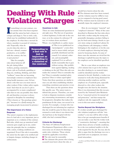## **Dealing With Rule Violation Charges**

**I** f something is in your contract, you can assume that it has been negotiated and the union has had a chance to critique and shape it. Not so with a rule, f something is in your contract, you can assume that it has been negotiated and the union has had a chance to which may be established unilaterally by the employer. So what does a steward do when a member is accused of violating a

rule? Especially, what do you do when the rule is a bad one—absurd, counterproductive, or in conflict with the contract, the law, or past practice?

Take for example, rules about behavior off the job: dating fellow workers, posting comments

about a job on Facebook, gambling or drug use, smoking, drinking, and other "wellness" issues that are becoming increasingly common as employers face rising health insurance costs. Or how about a rule that says you must turn in other workers if they violate safety regulations? And what do you do if a job is accompanied by so many complicated rules that no one can possibly obey them all, and therefore everyone is always exposed to discipline for something? (This is known as "the penology principle," because it is a [bad] strategy for managing people incarcerated in prisons.)

#### **The Importance of a Union Response**

The union's response to the implementation of a bad rule is very important, just as important as to a violation of the contract. Bad rules, which may go unnoticed until someone gets caught up in one, undermine the principle that in a workplace with a union, working conditions are negotiated. Even if the rule is reasonable, the union has the right to be notified and to bargain changes, including changes in enforcement.

#### **Questions to Ask**

There are some fundamental questions to ask right away. The first set of questions is about legitimacy. Is this rule in the contract, or in the contract by reference? If not, is it written down anywhere? Where—in a handbook or a policy manu-

**just as**

al? Was it ever publicized (or "promulgated," a term often used to mean widely and purposefully distributed and discussed). Is it rational, coherent, and meaningfully explained? Is it so self-evidently reasonable that it goes without saying—like prohibitions against fighting, stealing

or drinking on the job? Does this rule contradict the contract? Does it contradict the law? Does it contradict standard safety practices? Does it violate equal rights? Notice that these questions are similar to ones you ask when establishing whether something constitutes past practice or not.

Then there are the questions about this specific case. The union wants to defend due process. Therefore, you want to look at disparate treatment, consider any extenuating circumstances, and argue for progressive discipline that makes the punishment fit the crime, not exceed it in severity. For example, a woman who was discharged for not informing her employer that she would be gone for three days was returned to work when it was shown that she had been at the hospital with her child, who had a terminal illness.

#### **Criteria for Discharge**

The State of California Employment Development Department offers a common-sense set of criteria for discharge under rules violations. These criteria should be applicable everywhere. ■ The rule must be reasonable.

■ The claimant (the person who is being accused) must know about the rule, or

should have known about the rule.

■ The claimant must have been warned, and the violation must be willful or wanton (as compared to having good cause). ■ The violation must be material or substantially injure the employer's interests.

How do you interpret "material" and "employer's interests"? Many of the cases described to illustrate the four rules above deal with a worker using the wrong tool, potentially damaging a product; failing to pay for food eaten during a break at a grocery store; using an employer's phone for a long-distance call; damaging a vehicle belonging to the employer; or (in the case of a bank employee) showing bad judgment by bouncing checks. In some of these cases the amounts are trivial but the discharge is upheld because the injury to the employer can be identified specifically.

But in a case where an employee was a few minutes late to get to his workstation after clocking in, no material injury could be identified and the worker returned to his job. Similarly, a worker was returned to work after being dismissed for criticizing another employee and the employer on a Facebook post, especially directed to a few other workers she thought were also hurt by the situation. Here it was determined that this was protected by the National Labor Relations Act as "concerted activity for mutual aid and protection," and that trumps the employer rule she supposedly violated, even in this non-union workplace.

#### **Tactics Beyond the Workplace**

If a worker actually gets discharged for rule violation (employers call this "misconduct"), you may still be able to help him or her get unemployment benefits if you can make a case that the worker took a "constructive discharge"—meaning that under those adverse or hostile conditions, he or she was rendered unable to do the work required for the job. You may also be able to argue that the discharge was over a good faith error in judgment, not intentional misconduct.

*—Joe Berry and Helena Worthen. The writers are veteran labor educators.*

**Responding to a bad rule is important as responding to a violation of the contract.**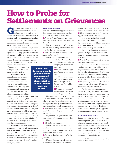## **How to Probe for Settlements on Grievances**

Fievance procedures were originally designed to help unions<br>and management work out problems as close to the source of the issues nally designed to help unions and management work out problems as close to the source of the issues as possible, and with a minimum of conflict.

But sometimes, management decides they want to frustrate the union, so they won't settle anything.

In those cases stewards may have to organize the members to pressure management into taking grievances seriously. There's an awful lot to be said for having a strong, committed membership putting its muscle into convincing management to do the right thing. There's nothing like

having a determined group of workers standing outside a manager's door to make him sit up and take notice.

Another way lies in strengthening the contract, making things so airtight that management wouldn't dare to create problems for workers unless the employer has an unusually strong case.

However, in situations where management is willing

to work things out, removing the obstacles to getting settlements might be the style stewards use in dealing with management. If all you do is press the reasons why your interpretation of the contract or version of the facts are the correct ones, you may not get to talking about possible settlements. At some point stewards need to question their management counterpart about what it would take to reach a fair resolution of the issue at hand. It might be the key to resolving more grievances.

Experienced stewards know that sometimes you have to ask management a lot of questions if you want to reach your goal. There may be a way for both sides to come out satisfied, but you have to know how to determine if that's possible, and you can only do that by posing the right questions.

#### **More Than Just No**

Here are a number of suggested questions that just might get management saying more than no to all your grievances.

■ *Do* you understand the problem we are try*ing to solve with our remedy? How do you see that problem?*

Maybe the supervisor isn't clear on the real issue. Getting him to state it may open the door to a resolution.

■ *What about our proposed remedy do you have a problem with?*

Maybe the remedy's fine with him but one element sticks in his craw. You might be able to modify the one point, as

> long as your basic issue is dealt with.

■ *Do you have other suggestions for how we can resolve this?*

Who knows, maybe he's got an approach that will be acceptable, or at least a place from which to start.

■ *What are you concerned would happen if you agreed to our proposed remedy?*

His answer may surprise you: It may

be something you can assure him is not going to happen. He may be overestimating the impact. Or he may misunderstand the true nature of the remedy you're seeking. ■ *If we address your concern in that area, do you think we can reach agreement on the rest of our remedy?*

If you show him you can live with his concern, he'll be more prone to yield on yours.

■ *Why is that your position?*

Maybe he's locked into his position for a bad reason, one you can convince him is wrong, or which upper management wouldn't agree with.

■ *Can you explain how you arrived at that position?*

If you understand his logic you may be able to more successfully counter his

arguments. Or maybe he misunderstands or doesn't know about a basic fact in the case. ■ *This is very important to us. Are you saying you have no flexibility at al?*

If he indicates flexibility, you'll know you've got some room to operate. If he doesn't, at least you'll know you've hit a wall and can prepare for the next step. ■ *Make us a counterproposal on that.* 

You may well not find his counterproposal acceptable, but it could open some new avenues leading to an acceptable deal.

■ *If we had some flexibility on X, would you have some flexibility on Y?*

You'll want to use this approach with caution, because once you hint that you might have flexibility on an issue, it's hard to take it back entirely. And be careful here that you don't get into trading grievances: The flexibility has to be within the case you're discussing.

■ *The grievance procedure is supposed to be a way for us to resolve problems. Why are you unwilling to look for a settlement?*

Put the onus on management to defend its unresponsiveness—that's a lot better than going around and around over the same facts. And maybe the answer to that question—if there is one—will open a window of opportunity. If he gives a specific reason for his unwillingness, it may be a reason you can get him to dismiss, or view differently in the light of suggestions or alternative approaches you may have.

#### **A Word of Caution Here**

Before you probe management for a possible compromise, make sure you have discussed potential settlements with all the members involved in the case. Never make a final settlement offer without getting member approval and seriously considering, along with union officers, any precedents that might be set.

*—Ken Margolies. The writer is a senior associate of the Worker Institute at Cornell University.*

**stewards need to question their management counterpart about what it would take to resolve a problem.**

**Sometimes**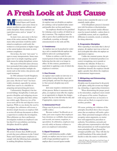### **A Fresh Look at Just Cause**

**M**ost union contracts in the<br>United States and Canada<br>Include a just cause claus United States and Canada include a just cause clause to protect members against arbitrary and unfair discipline. Some contracts use equivalent terms, such as "proper" or "good" cause.

In many ways, just cause is the keystone of the union contract. Without it, many other provisions would be undermined as employers could easily fire workers to avoid pensions or higher wages or fire union leaders who insist on strict contract compliance.

On its face, the term "just cause" is open to many interpretations. Some managers view it as simply requiring a good faith reason for taking disciplinary action.

But years of forceful union advocacy have persuaded labor judges (arbitrators) that the concept includes multiple elements such as fair notice, due process, and equal treatment.

In 1965 arbitrator Carroll Daugherty identified seven necessary elements of just cause. His list of "tests" has been widely circulated, especially by unions, which have used it as a checklist in preparing and presenting grievances.

Unfortunately, Daugherty's list has several failings. Inexplicably, it omits progressive discipline and mitigating circumstances—two principles that labor arbitrators widely apply. Moreover, two of his seven tests call for fair and objective investigations. While no one denies the need to investigate, few arbitrators will reverse a decision simply because an employer fails to review all relevant documents or allows a supervisor to conduct the investigation. Most arbitrators say that a perfunctory investigation weakens an employer's case but that if it is nevertheless convincing, discipline should be upheld.

#### **Updating the Principles**

My review of more than 20,000 awards reveals that most arbitrators in the United States and Canada expect employers to comply with the following basic principles in making disciplinary decisions:

#### **1. Fair Notice**

*An employer may not discipline an employee for violating a rule of standard whose nature and penalties have not been made known.*

An employee should not be punished for violating a rule or policy of which he or she is unaware. The employer must be able to prove that it publicized the rule in a handbook, a posting, or through announcements to the rank and file.

#### **2. Consistency**

*An employee may not be penalized for violating a rule or standard that the employer has failed to enforce for a prolonged period.*

Failure to enforce a rule for a protracted period of time lulls employees into believing that the rule is no longer in effect. In this context, punishment is equivalent to applying a rule of which the employee is unaware.

#### **3. Due Process**

*An employer must conduct an interview or a hearing before issuing discipline, must take action promptly, and must list charges precisely. Once assessed, discipline may not be increased.*

Just cause requires a minimum level of due process. Before it announces discipline, an employer must offer the employee an opportunity to dispute the charges, explain why he or she did what he did, and if appropriate, express remorse.

#### **4. Substantial Proof**

*Charges must be proven by substantial and credible evidence.*

Because workers' livelihoods are at stake, just cause requires that employers base decisions on verifiable observations and records, not rumors, suspicion, or speculation. In arbitration, employers may not rely solely on hearsay evidence to prove an employee's misconduct.

#### **5. Equal Treatment**

*Unless a valid distinction justifies a higher penalty, an employer may not assess a considerably stronger punishment against one employee than it assessed against another*

*known to have committed the same or a substantially similar offense.*

A fair disciplinary process is inconsistent with favoritism or discrimination. Employees who commit similar offenses must be treated similarly—unless there is a justifiable reason, such as a significant difference in seniority, record, or attitude, for doing otherwise.

#### **6. Progressive Discipline**

*When responding to misconduct that is short of egregious, the employer must issue at least one level of discipline that allows the employee an opportunity to improve.*

Unlike the criminal system, the primary purpose of industrial penalties is to correct wrongdoing, not to punish or humiliate the offender. If there is a chance that an employee can change or rehabilitate himself, the employer should apply a penalty that allows the employee to demonstrate improvement.

#### **7. Mitigating and Extenuating Circumstances**

*Discipline must be proportional to the gravity of the offense, taking into account any mitigating, extenuating, or aggravating circumstances.*

When determining the proper penalty for misconduct, employers must consider all aspects of the matter. Employees with strong records have an incentive to reform and are likely to respond to intermediary penalties.

■

Of course, pointing out violations of the principles described above does not guarantee that an employer will settle a grievance. Many personnel managers refuse to recognize union arguments, no matter how well supported by precedent or authority. Nevertheless, stewards and other grievance representatives who base their presentations on well recognized just cause principles will put forward the strongest possible case. They will also lay a solid foundation if the union should decide to take the matter to arbitration.

*—Robert M. Schwartz. The writer's new book,* Just Cause: A Union Guide to Winning Discipline Cases*, is available from www.laborbooks.com.*